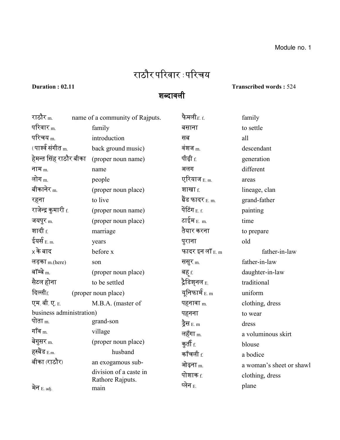## राठौर पररवार : पररचय

शब्दावली

## **Duration : 02.11 Transcribed words :** 524

| राठौर <sub>m.</sub>      | name of a community of Rajputs. | फैमली $_{E. f.}$         | family                   |
|--------------------------|---------------------------------|--------------------------|--------------------------|
| परिवार $_{\rm m}$        | family                          | बसाना                    | to settle                |
| परिचय <sub>m.</sub>      | introduction                    | सब                       | all                      |
| (पार्श्व संगीत m.        | back ground music)              | वंशज $_{\rm m}$          | descendant               |
| हेमन्त सिंह राठौर बीका   | (proper noun name)              | पीढ़ी f.                 | generation               |
| नाम $m$                  | name                            | अलग                      | different                |
| लोग $_{\rm m}$           | people                          | एरियाज $_{E.m.}$         | areas                    |
| बीकानेर $m$              | (proper noun place)             | शाखा <sub>f.</sub>       | lineage, clan            |
| रहना                     | to live                         | ग्रैंड फादर E. m.        | grand-father             |
| राजेन्द्र कुमारी f.      | (proper noun name)              | पेंटिंग $_{E.f.}$        | painting                 |
| जयपुर m.                 | (proper noun place)             | टाईम $_{E. \, m.}$       | time                     |
| शादी <sub>f.</sub>       | marriage                        | तैयार करना               | to prepare               |
| ईयर्स $_{E. m.}$         | years                           | पुराना                   | old                      |
| $\times$ के बाद          | before x                        | फादर इन लॉ $_{\rm E.~m}$ | father-in-law            |
| लड़का m.(here)           | son                             | ससूर $m$ .               | father-in-law            |
| बॉम्बे $m$               | (proper noun place)             | बह f.                    | daughter-in-law          |
| सैटल होना                | to be settled                   | ट्रैडिश्नल <sub>E.</sub> | traditional              |
| दिल्ली $f$               | (proper noun place)             | यूनिफार्म $_{E.m}$       | uniform                  |
| एम.बी.ए. E.              | M.B.A. (master of               | पहनावा $m$               | clothing, dress          |
| business administration) |                                 | पहनना                    | to wear                  |
| पोता <sub>m.</sub>       | grand-son                       | ड्रैस <sub>E. m</sub>    | dress                    |
| गॉव $_m$                 | village                         | लहॅंगा <sub>m.</sub>     | a voluminous skirt       |
| बेगुसर <sub>m.</sub>     | (proper noun place)             | कूती $f$                 | blouse                   |
| हस्बैंड E.m.             | husband                         | कॉंचली $_{\rm f.}$       | a bodice                 |
| बीका (राठौर)             | an exogamous sub-               | ओढ़ना <sub>m.</sub>      | a woman's sheet or shawl |
|                          | division of a caste in          | पोशाक f.                 | clothing, dress          |
| मेन $E.$ adj.            | Rathore Rajputs.<br>main        | प्लेन <sub>E.</sub>      | plane                    |